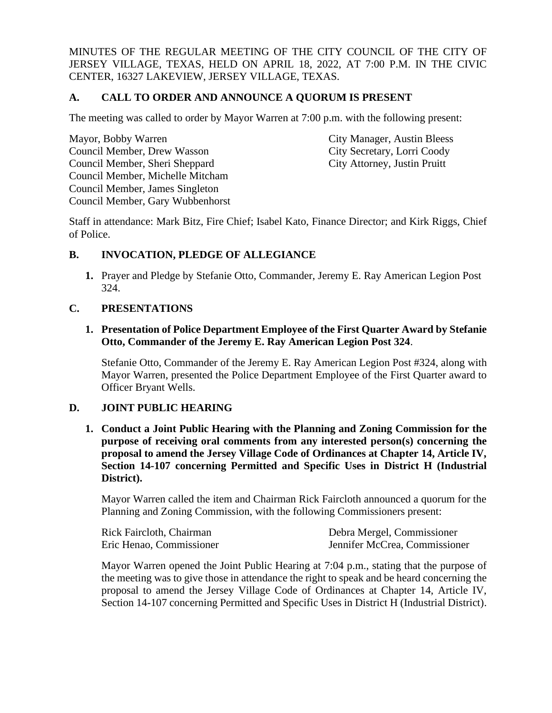MINUTES OF THE REGULAR MEETING OF THE CITY COUNCIL OF THE CITY OF JERSEY VILLAGE, TEXAS, HELD ON APRIL 18, 2022, AT 7:00 P.M. IN THE CIVIC CENTER, 16327 LAKEVIEW, JERSEY VILLAGE, TEXAS.

# **A. CALL TO ORDER AND ANNOUNCE A QUORUM IS PRESENT**

The meeting was called to order by Mayor Warren at 7:00 p.m. with the following present:

Mayor, Bobby Warren City Manager, Austin Bleess Council Member, Drew Wasson City Secretary, Lorri Coody Council Member, Sheri Sheppard City Attorney, Justin Pruitt Council Member, Michelle Mitcham Council Member, James Singleton Council Member, Gary Wubbenhorst

Staff in attendance: Mark Bitz, Fire Chief; Isabel Kato, Finance Director; and Kirk Riggs, Chief of Police.

# **B. INVOCATION, PLEDGE OF ALLEGIANCE**

**1.** Prayer and Pledge by Stefanie Otto, Commander, Jeremy E. Ray American Legion Post 324.

# **C. PRESENTATIONS**

#### **1. Presentation of Police Department Employee of the First Quarter Award by Stefanie Otto, Commander of the Jeremy E. Ray American Legion Post 324**.

Stefanie Otto, Commander of the Jeremy E. Ray American Legion Post #324, along with Mayor Warren, presented the Police Department Employee of the First Quarter award to Officer Bryant Wells.

# **D. JOINT PUBLIC HEARING**

**1. Conduct a Joint Public Hearing with the Planning and Zoning Commission for the purpose of receiving oral comments from any interested person(s) concerning the proposal to amend the Jersey Village Code of Ordinances at Chapter 14, Article IV, Section 14-107 concerning Permitted and Specific Uses in District H (Industrial District).**

Mayor Warren called the item and Chairman Rick Faircloth announced a quorum for the Planning and Zoning Commission, with the following Commissioners present:

| Rick Faircloth, Chairman | Debra Mergel, Commissioner    |
|--------------------------|-------------------------------|
| Eric Henao, Commissioner | Jennifer McCrea, Commissioner |

Mayor Warren opened the Joint Public Hearing at 7:04 p.m., stating that the purpose of the meeting was to give those in attendance the right to speak and be heard concerning the proposal to amend the Jersey Village Code of Ordinances at Chapter 14, Article IV, Section 14-107 concerning Permitted and Specific Uses in District H (Industrial District).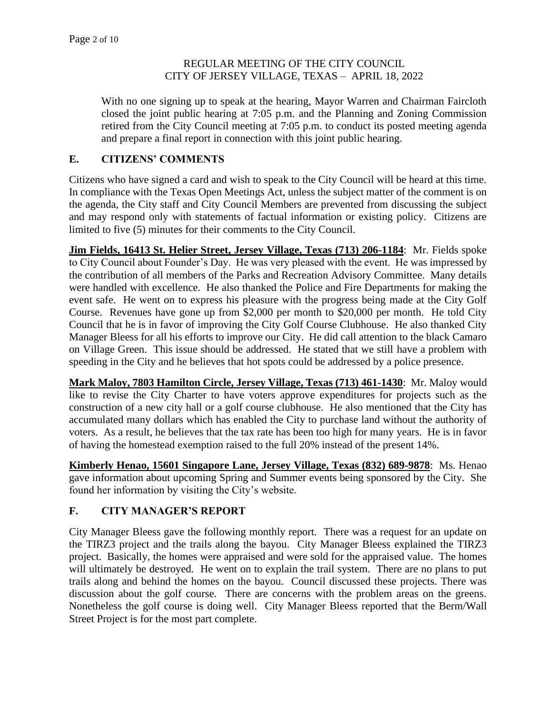With no one signing up to speak at the hearing, Mayor Warren and Chairman Faircloth closed the joint public hearing at 7:05 p.m. and the Planning and Zoning Commission retired from the City Council meeting at 7:05 p.m. to conduct its posted meeting agenda and prepare a final report in connection with this joint public hearing.

# **E. CITIZENS' COMMENTS**

Citizens who have signed a card and wish to speak to the City Council will be heard at this time. In compliance with the Texas Open Meetings Act, unless the subject matter of the comment is on the agenda, the City staff and City Council Members are prevented from discussing the subject and may respond only with statements of factual information or existing policy. Citizens are limited to five (5) minutes for their comments to the City Council.

**Jim Fields, 16413 St. Helier Street, Jersey Village, Texas (713) 206-1184**: Mr. Fields spoke to City Council about Founder's Day. He was very pleased with the event. He was impressed by the contribution of all members of the Parks and Recreation Advisory Committee. Many details were handled with excellence. He also thanked the Police and Fire Departments for making the event safe. He went on to express his pleasure with the progress being made at the City Golf Course. Revenues have gone up from \$2,000 per month to \$20,000 per month. He told City Council that he is in favor of improving the City Golf Course Clubhouse. He also thanked City Manager Bleess for all his efforts to improve our City. He did call attention to the black Camaro on Village Green. This issue should be addressed. He stated that we still have a problem with speeding in the City and he believes that hot spots could be addressed by a police presence.

**Mark Maloy, 7803 Hamilton Circle, Jersey Village, Texas (713) 461-1430**: Mr. Maloy would like to revise the City Charter to have voters approve expenditures for projects such as the construction of a new city hall or a golf course clubhouse. He also mentioned that the City has accumulated many dollars which has enabled the City to purchase land without the authority of voters. As a result, he believes that the tax rate has been too high for many years. He is in favor of having the homestead exemption raised to the full 20% instead of the present 14%.

**Kimberly Henao, 15601 Singapore Lane, Jersey Village, Texas (832) 689-9878**: Ms. Henao gave information about upcoming Spring and Summer events being sponsored by the City. She found her information by visiting the City's website.

# **F. CITY MANAGER'S REPORT**

City Manager Bleess gave the following monthly report. There was a request for an update on the TIRZ3 project and the trails along the bayou. City Manager Bleess explained the TIRZ3 project. Basically, the homes were appraised and were sold for the appraised value. The homes will ultimately be destroyed. He went on to explain the trail system. There are no plans to put trails along and behind the homes on the bayou. Council discussed these projects. There was discussion about the golf course. There are concerns with the problem areas on the greens. Nonetheless the golf course is doing well. City Manager Bleess reported that the Berm/Wall Street Project is for the most part complete.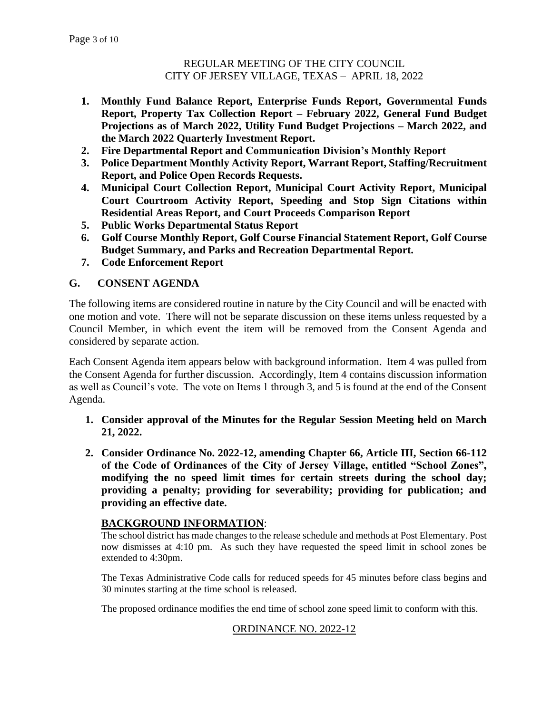- **1. Monthly Fund Balance Report, Enterprise Funds Report, Governmental Funds Report, Property Tax Collection Report – February 2022, General Fund Budget Projections as of March 2022, Utility Fund Budget Projections – March 2022, and the March 2022 Quarterly Investment Report.**
- **2. Fire Departmental Report and Communication Division's Monthly Report**
- **3. Police Department Monthly Activity Report, Warrant Report, Staffing/Recruitment Report, and Police Open Records Requests.**
- **4. Municipal Court Collection Report, Municipal Court Activity Report, Municipal Court Courtroom Activity Report, Speeding and Stop Sign Citations within Residential Areas Report, and Court Proceeds Comparison Report**
- **5. Public Works Departmental Status Report**
- **6. Golf Course Monthly Report, Golf Course Financial Statement Report, Golf Course Budget Summary, and Parks and Recreation Departmental Report.**
- **7. Code Enforcement Report**

# **G. CONSENT AGENDA**

The following items are considered routine in nature by the City Council and will be enacted with one motion and vote. There will not be separate discussion on these items unless requested by a Council Member, in which event the item will be removed from the Consent Agenda and considered by separate action.

Each Consent Agenda item appears below with background information. Item 4 was pulled from the Consent Agenda for further discussion. Accordingly, Item 4 contains discussion information as well as Council's vote. The vote on Items 1 through 3, and 5 is found at the end of the Consent Agenda.

- **1. Consider approval of the Minutes for the Regular Session Meeting held on March 21, 2022.**
- **2. Consider Ordinance No. 2022-12, amending Chapter 66, Article III, Section 66-112 of the Code of Ordinances of the City of Jersey Village, entitled "School Zones", modifying the no speed limit times for certain streets during the school day; providing a penalty; providing for severability; providing for publication; and providing an effective date.**

# **BACKGROUND INFORMATION**:

The school district has made changes to the release schedule and methods at Post Elementary. Post now dismisses at 4:10 pm. As such they have requested the speed limit in school zones be extended to 4:30pm.

The Texas Administrative Code calls for reduced speeds for 45 minutes before class begins and 30 minutes starting at the time school is released.

The proposed ordinance modifies the end time of school zone speed limit to conform with this.

# ORDINANCE NO. 2022-12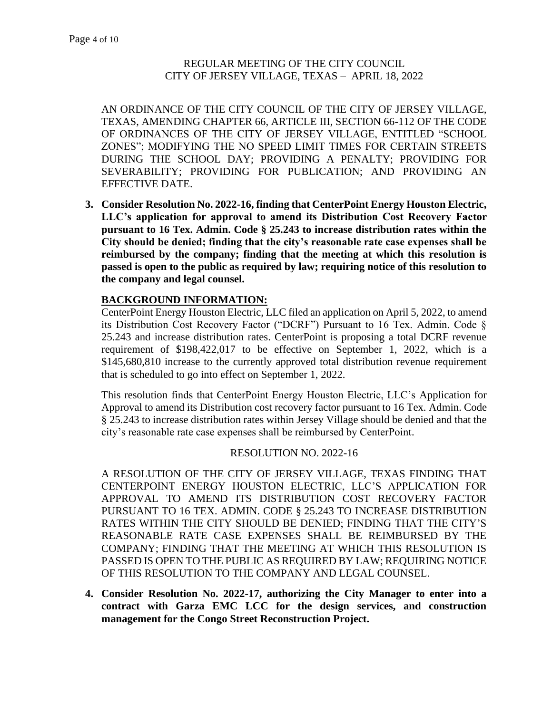AN ORDINANCE OF THE CITY COUNCIL OF THE CITY OF JERSEY VILLAGE, TEXAS, AMENDING CHAPTER 66, ARTICLE III, SECTION 66-112 OF THE CODE OF ORDINANCES OF THE CITY OF JERSEY VILLAGE, ENTITLED "SCHOOL ZONES"; MODIFYING THE NO SPEED LIMIT TIMES FOR CERTAIN STREETS DURING THE SCHOOL DAY; PROVIDING A PENALTY; PROVIDING FOR SEVERABILITY; PROVIDING FOR PUBLICATION; AND PROVIDING AN EFFECTIVE DATE.

**3. Consider Resolution No. 2022-16, finding that CenterPoint Energy Houston Electric, LLC's application for approval to amend its Distribution Cost Recovery Factor pursuant to 16 Tex. Admin. Code § 25.243 to increase distribution rates within the City should be denied; finding that the city's reasonable rate case expenses shall be reimbursed by the company; finding that the meeting at which this resolution is passed is open to the public as required by law; requiring notice of this resolution to the company and legal counsel.** 

# **BACKGROUND INFORMATION:**

CenterPoint Energy Houston Electric, LLC filed an application on April 5, 2022, to amend its Distribution Cost Recovery Factor ("DCRF") Pursuant to 16 Tex. Admin. Code § 25.243 and increase distribution rates. CenterPoint is proposing a total DCRF revenue requirement of \$198,422,017 to be effective on September 1, 2022, which is a \$145,680,810 increase to the currently approved total distribution revenue requirement that is scheduled to go into effect on September 1, 2022.

This resolution finds that CenterPoint Energy Houston Electric, LLC's Application for Approval to amend its Distribution cost recovery factor pursuant to 16 Tex. Admin. Code § 25.243 to increase distribution rates within Jersey Village should be denied and that the city's reasonable rate case expenses shall be reimbursed by CenterPoint.

# RESOLUTION NO. 2022-16

A RESOLUTION OF THE CITY OF JERSEY VILLAGE, TEXAS FINDING THAT CENTERPOINT ENERGY HOUSTON ELECTRIC, LLC'S APPLICATION FOR APPROVAL TO AMEND ITS DISTRIBUTION COST RECOVERY FACTOR PURSUANT TO 16 TEX. ADMIN. CODE § 25.243 TO INCREASE DISTRIBUTION RATES WITHIN THE CITY SHOULD BE DENIED; FINDING THAT THE CITY'S REASONABLE RATE CASE EXPENSES SHALL BE REIMBURSED BY THE COMPANY; FINDING THAT THE MEETING AT WHICH THIS RESOLUTION IS PASSED IS OPEN TO THE PUBLIC AS REQUIRED BY LAW; REQUIRING NOTICE OF THIS RESOLUTION TO THE COMPANY AND LEGAL COUNSEL.

**4. Consider Resolution No. 2022-17, authorizing the City Manager to enter into a contract with Garza EMC LCC for the design services, and construction management for the Congo Street Reconstruction Project.**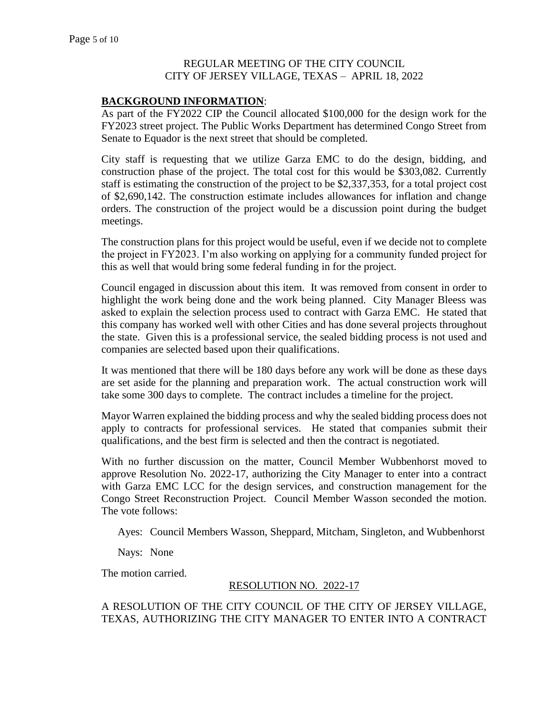#### **BACKGROUND INFORMATION**:

As part of the FY2022 CIP the Council allocated \$100,000 for the design work for the FY2023 street project. The Public Works Department has determined Congo Street from Senate to Equador is the next street that should be completed.

City staff is requesting that we utilize Garza EMC to do the design, bidding, and construction phase of the project. The total cost for this would be \$303,082. Currently staff is estimating the construction of the project to be \$2,337,353, for a total project cost of \$2,690,142. The construction estimate includes allowances for inflation and change orders. The construction of the project would be a discussion point during the budget meetings.

The construction plans for this project would be useful, even if we decide not to complete the project in FY2023. I'm also working on applying for a community funded project for this as well that would bring some federal funding in for the project.

Council engaged in discussion about this item. It was removed from consent in order to highlight the work being done and the work being planned. City Manager Bleess was asked to explain the selection process used to contract with Garza EMC. He stated that this company has worked well with other Cities and has done several projects throughout the state. Given this is a professional service, the sealed bidding process is not used and companies are selected based upon their qualifications.

It was mentioned that there will be 180 days before any work will be done as these days are set aside for the planning and preparation work. The actual construction work will take some 300 days to complete. The contract includes a timeline for the project.

Mayor Warren explained the bidding process and why the sealed bidding process does not apply to contracts for professional services. He stated that companies submit their qualifications, and the best firm is selected and then the contract is negotiated.

With no further discussion on the matter, Council Member Wubbenhorst moved to approve Resolution No. 2022-17, authorizing the City Manager to enter into a contract with Garza EMC LCC for the design services, and construction management for the Congo Street Reconstruction Project. Council Member Wasson seconded the motion. The vote follows:

Ayes: Council Members Wasson, Sheppard, Mitcham, Singleton, and Wubbenhorst

Nays: None

The motion carried.

#### RESOLUTION NO. 2022-17

A RESOLUTION OF THE CITY COUNCIL OF THE CITY OF JERSEY VILLAGE, TEXAS, AUTHORIZING THE CITY MANAGER TO ENTER INTO A CONTRACT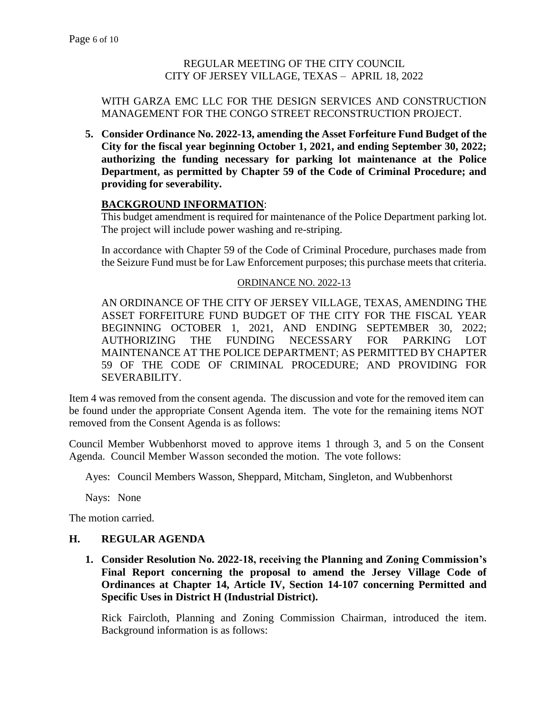#### WITH GARZA EMC LLC FOR THE DESIGN SERVICES AND CONSTRUCTION MANAGEMENT FOR THE CONGO STREET RECONSTRUCTION PROJECT.

**5. Consider Ordinance No. 2022-13, amending the Asset Forfeiture Fund Budget of the City for the fiscal year beginning October 1, 2021, and ending September 30, 2022; authorizing the funding necessary for parking lot maintenance at the Police Department, as permitted by Chapter 59 of the Code of Criminal Procedure; and providing for severability.**

# **BACKGROUND INFORMATION**:

This budget amendment is required for maintenance of the Police Department parking lot. The project will include power washing and re-striping.

In accordance with Chapter 59 of the Code of Criminal Procedure, purchases made from the Seizure Fund must be for Law Enforcement purposes; this purchase meets that criteria.

#### ORDINANCE NO. 2022-13

AN ORDINANCE OF THE CITY OF JERSEY VILLAGE, TEXAS, AMENDING THE ASSET FORFEITURE FUND BUDGET OF THE CITY FOR THE FISCAL YEAR BEGINNING OCTOBER 1, 2021, AND ENDING SEPTEMBER 30, 2022; AUTHORIZING THE FUNDING NECESSARY FOR PARKING LOT MAINTENANCE AT THE POLICE DEPARTMENT; AS PERMITTED BY CHAPTER 59 OF THE CODE OF CRIMINAL PROCEDURE; AND PROVIDING FOR SEVERABILITY.

Item 4 was removed from the consent agenda. The discussion and vote for the removed item can be found under the appropriate Consent Agenda item. The vote for the remaining items NOT removed from the Consent Agenda is as follows:

Council Member Wubbenhorst moved to approve items 1 through 3, and 5 on the Consent Agenda. Council Member Wasson seconded the motion. The vote follows:

Ayes: Council Members Wasson, Sheppard, Mitcham, Singleton, and Wubbenhorst

Nays: None

The motion carried.

# **H. REGULAR AGENDA**

**1. Consider Resolution No. 2022-18, receiving the Planning and Zoning Commission's Final Report concerning the proposal to amend the Jersey Village Code of Ordinances at Chapter 14, Article IV, Section 14-107 concerning Permitted and Specific Uses in District H (Industrial District).**

Rick Faircloth, Planning and Zoning Commission Chairman, introduced the item. Background information is as follows: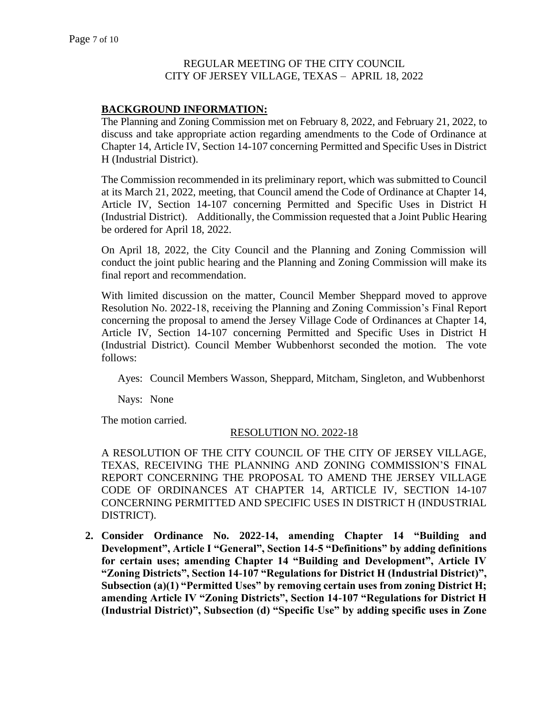# **BACKGROUND INFORMATION:**

The Planning and Zoning Commission met on February 8, 2022, and February 21, 2022, to discuss and take appropriate action regarding amendments to the Code of Ordinance at Chapter 14, Article IV, Section 14-107 concerning Permitted and Specific Uses in District H (Industrial District).

The Commission recommended in its preliminary report, which was submitted to Council at its March 21, 2022, meeting, that Council amend the Code of Ordinance at Chapter 14, Article IV, Section 14-107 concerning Permitted and Specific Uses in District H (Industrial District). Additionally, the Commission requested that a Joint Public Hearing be ordered for April 18, 2022.

On April 18, 2022, the City Council and the Planning and Zoning Commission will conduct the joint public hearing and the Planning and Zoning Commission will make its final report and recommendation.

With limited discussion on the matter, Council Member Sheppard moved to approve Resolution No. 2022-18, receiving the Planning and Zoning Commission's Final Report concerning the proposal to amend the Jersey Village Code of Ordinances at Chapter 14, Article IV, Section 14-107 concerning Permitted and Specific Uses in District H (Industrial District). Council Member Wubbenhorst seconded the motion. The vote follows:

Ayes: Council Members Wasson, Sheppard, Mitcham, Singleton, and Wubbenhorst

Nays: None

The motion carried.

#### RESOLUTION NO. 2022-18

A RESOLUTION OF THE CITY COUNCIL OF THE CITY OF JERSEY VILLAGE, TEXAS, RECEIVING THE PLANNING AND ZONING COMMISSION'S FINAL REPORT CONCERNING THE PROPOSAL TO AMEND THE JERSEY VILLAGE CODE OF ORDINANCES AT CHAPTER 14, ARTICLE IV, SECTION 14-107 CONCERNING PERMITTED AND SPECIFIC USES IN DISTRICT H (INDUSTRIAL DISTRICT).

**2. Consider Ordinance No. 2022-14, amending Chapter 14 "Building and Development", Article I "General", Section 14-5 "Definitions" by adding definitions for certain uses; amending Chapter 14 "Building and Development", Article IV "Zoning Districts", Section 14-107 "Regulations for District H (Industrial District)", Subsection (a)(1) "Permitted Uses" by removing certain uses from zoning District H; amending Article IV "Zoning Districts", Section 14-107 "Regulations for District H (Industrial District)", Subsection (d) "Specific Use" by adding specific uses in Zone**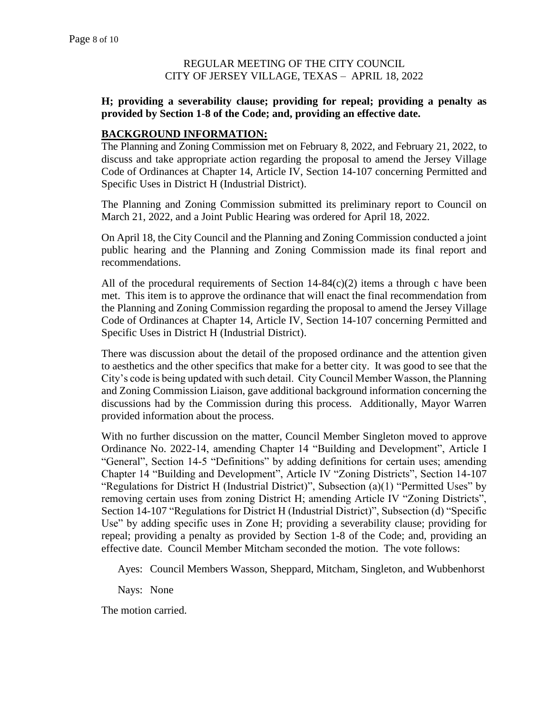#### **H; providing a severability clause; providing for repeal; providing a penalty as provided by Section 1-8 of the Code; and, providing an effective date.**

#### **BACKGROUND INFORMATION:**

The Planning and Zoning Commission met on February 8, 2022, and February 21, 2022, to discuss and take appropriate action regarding the proposal to amend the Jersey Village Code of Ordinances at Chapter 14, Article IV, Section 14-107 concerning Permitted and Specific Uses in District H (Industrial District).

The Planning and Zoning Commission submitted its preliminary report to Council on March 21, 2022, and a Joint Public Hearing was ordered for April 18, 2022.

On April 18, the City Council and the Planning and Zoning Commission conducted a joint public hearing and the Planning and Zoning Commission made its final report and recommendations.

All of the procedural requirements of Section 14-84(c)(2) items a through c have been met. This item is to approve the ordinance that will enact the final recommendation from the Planning and Zoning Commission regarding the proposal to amend the Jersey Village Code of Ordinances at Chapter 14, Article IV, Section 14-107 concerning Permitted and Specific Uses in District H (Industrial District).

There was discussion about the detail of the proposed ordinance and the attention given to aesthetics and the other specifics that make for a better city. It was good to see that the City's code is being updated with such detail. City Council Member Wasson, the Planning and Zoning Commission Liaison, gave additional background information concerning the discussions had by the Commission during this process. Additionally, Mayor Warren provided information about the process.

With no further discussion on the matter, Council Member Singleton moved to approve Ordinance No. 2022-14, amending Chapter 14 "Building and Development", Article I "General", Section 14-5 "Definitions" by adding definitions for certain uses; amending Chapter 14 "Building and Development", Article IV "Zoning Districts", Section 14-107 "Regulations for District H (Industrial District)", Subsection (a)(1) "Permitted Uses" by removing certain uses from zoning District H; amending Article IV "Zoning Districts", Section 14-107 "Regulations for District H (Industrial District)", Subsection (d) "Specific Use" by adding specific uses in Zone H; providing a severability clause; providing for repeal; providing a penalty as provided by Section 1-8 of the Code; and, providing an effective date. Council Member Mitcham seconded the motion. The vote follows:

Ayes: Council Members Wasson, Sheppard, Mitcham, Singleton, and Wubbenhorst

Nays: None

The motion carried.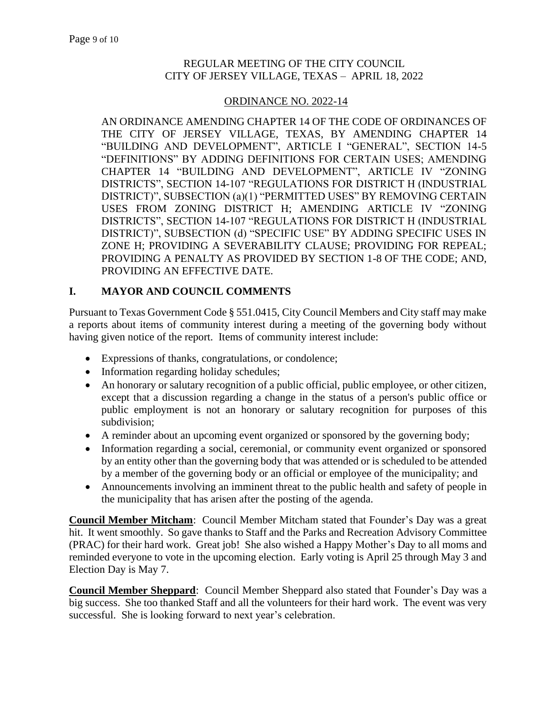#### ORDINANCE NO. 2022-14

AN ORDINANCE AMENDING CHAPTER 14 OF THE CODE OF ORDINANCES OF THE CITY OF JERSEY VILLAGE, TEXAS, BY AMENDING CHAPTER 14 "BUILDING AND DEVELOPMENT", ARTICLE I "GENERAL", SECTION 14-5 "DEFINITIONS" BY ADDING DEFINITIONS FOR CERTAIN USES; AMENDING CHAPTER 14 "BUILDING AND DEVELOPMENT", ARTICLE IV "ZONING DISTRICTS", SECTION 14-107 "REGULATIONS FOR DISTRICT H (INDUSTRIAL DISTRICT)", SUBSECTION (a)(1) "PERMITTED USES" BY REMOVING CERTAIN USES FROM ZONING DISTRICT H; AMENDING ARTICLE IV "ZONING DISTRICTS", SECTION 14-107 "REGULATIONS FOR DISTRICT H (INDUSTRIAL DISTRICT)", SUBSECTION (d) "SPECIFIC USE" BY ADDING SPECIFIC USES IN ZONE H; PROVIDING A SEVERABILITY CLAUSE; PROVIDING FOR REPEAL; PROVIDING A PENALTY AS PROVIDED BY SECTION 1-8 OF THE CODE; AND, PROVIDING AN EFFECTIVE DATE.

# **I. MAYOR AND COUNCIL COMMENTS**

Pursuant to Texas Government Code § 551.0415, City Council Members and City staff may make a reports about items of community interest during a meeting of the governing body without having given notice of the report. Items of community interest include:

- Expressions of thanks, congratulations, or condolence;
- Information regarding holiday schedules;
- An honorary or salutary recognition of a public official, public employee, or other citizen, except that a discussion regarding a change in the status of a person's public office or public employment is not an honorary or salutary recognition for purposes of this subdivision;
- A reminder about an upcoming event organized or sponsored by the governing body;
- Information regarding a social, ceremonial, or community event organized or sponsored by an entity other than the governing body that was attended or is scheduled to be attended by a member of the governing body or an official or employee of the municipality; and
- Announcements involving an imminent threat to the public health and safety of people in the municipality that has arisen after the posting of the agenda.

**Council Member Mitcham**: Council Member Mitcham stated that Founder's Day was a great hit. It went smoothly. So gave thanks to Staff and the Parks and Recreation Advisory Committee (PRAC) for their hard work. Great job! She also wished a Happy Mother's Day to all moms and reminded everyone to vote in the upcoming election. Early voting is April 25 through May 3 and Election Day is May 7.

**Council Member Sheppard**: Council Member Sheppard also stated that Founder's Day was a big success. She too thanked Staff and all the volunteers for their hard work. The event was very successful. She is looking forward to next year's celebration.